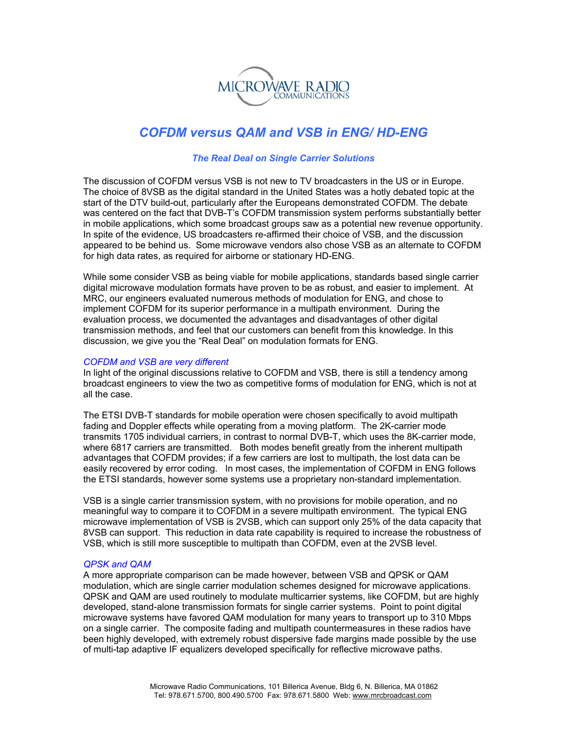

# *COFDM versus QAM and VSB in ENG/ HD-ENG*

## *The Real Deal on Single Carrier Solutions*

The discussion of COFDM versus VSB is not new to TV broadcasters in the US or in Europe. The choice of 8VSB as the digital standard in the United States was a hotly debated topic at the start of the DTV build-out, particularly after the Europeans demonstrated COFDM. The debate was centered on the fact that DVB-T's COFDM transmission system performs substantially better in mobile applications, which some broadcast groups saw as a potential new revenue opportunity. In spite of the evidence, US broadcasters re-affirmed their choice of VSB, and the discussion appeared to be behind us. Some microwave vendors also chose VSB as an alternate to COFDM for high data rates, as required for airborne or stationary HD-ENG.

While some consider VSB as being viable for mobile applications, standards based single carrier digital microwave modulation formats have proven to be as robust, and easier to implement. At MRC, our engineers evaluated numerous methods of modulation for ENG, and chose to implement COFDM for its superior performance in a multipath environment. During the evaluation process, we documented the advantages and disadvantages of other digital transmission methods, and feel that our customers can benefit from this knowledge. In this discussion, we give you the "Real Deal" on modulation formats for ENG.

#### *COFDM and VSB are very different*

In light of the original discussions relative to COFDM and VSB, there is still a tendency among broadcast engineers to view the two as competitive forms of modulation for ENG, which is not at all the case.

The ETSI DVB-T standards for mobile operation were chosen specifically to avoid multipath fading and Doppler effects while operating from a moving platform. The 2K-carrier mode transmits 1705 individual carriers, in contrast to normal DVB-T, which uses the 8K-carrier mode, where 6817 carriers are transmitted. Both modes benefit greatly from the inherent multipath advantages that COFDM provides; if a few carriers are lost to multipath, the lost data can be easily recovered by error coding. In most cases, the implementation of COFDM in ENG follows the ETSI standards, however some systems use a proprietary non-standard implementation.

VSB is a single carrier transmission system, with no provisions for mobile operation, and no meaningful way to compare it to COFDM in a severe multipath environment. The typical ENG microwave implementation of VSB is 2VSB, which can support only 25% of the data capacity that 8VSB can support. This reduction in data rate capability is required to increase the robustness of VSB, which is still more susceptible to multipath than COFDM, even at the 2VSB level.

### *QPSK and QAM*

A more appropriate comparison can be made however, between VSB and QPSK or QAM modulation, which are single carrier modulation schemes designed for microwave applications. QPSK and QAM are used routinely to modulate multicarrier systems, like COFDM, but are highly developed, stand-alone transmission formats for single carrier systems. Point to point digital microwave systems have favored QAM modulation for many years to transport up to 310 Mbps on a single carrier. The composite fading and multipath countermeasures in these radios have been highly developed, with extremely robust dispersive fade margins made possible by the use of multi-tap adaptive IF equalizers developed specifically for reflective microwave paths.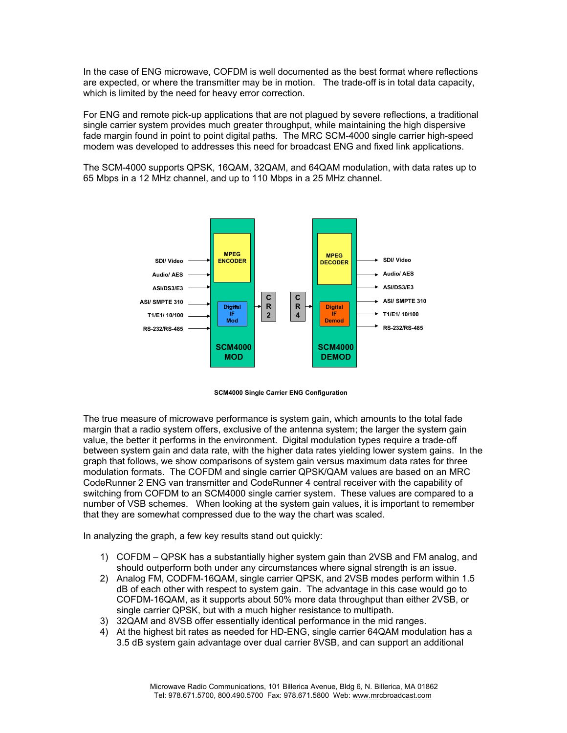In the case of ENG microwave, COFDM is well documented as the best format where reflections are expected, or where the transmitter may be in motion. The trade-off is in total data capacity, which is limited by the need for heavy error correction.

For ENG and remote pick-up applications that are not plagued by severe reflections, a traditional single carrier system provides much greater throughput, while maintaining the high dispersive fade margin found in point to point digital paths. The MRC SCM-4000 single carrier high-speed modem was developed to addresses this need for broadcast ENG and fixed link applications.

The SCM-4000 supports QPSK, 16QAM, 32QAM, and 64QAM modulation, with data rates up to 65 Mbps in a 12 MHz channel, and up to 110 Mbps in a 25 MHz channel.





The true measure of microwave performance is system gain, which amounts to the total fade margin that a radio system offers, exclusive of the antenna system; the larger the system gain value, the better it performs in the environment. Digital modulation types require a trade-off between system gain and data rate, with the higher data rates yielding lower system gains. In the graph that follows, we show comparisons of system gain versus maximum data rates for three modulation formats. The COFDM and single carrier QPSK/QAM values are based on an MRC CodeRunner 2 ENG van transmitter and CodeRunner 4 central receiver with the capability of switching from COFDM to an SCM4000 single carrier system. These values are compared to a number of VSB schemes. When looking at the system gain values, it is important to remember that they are somewhat compressed due to the way the chart was scaled.

In analyzing the graph, a few key results stand out quickly:

- 1) COFDM QPSK has a substantially higher system gain than 2VSB and FM analog, and should outperform both under any circumstances where signal strength is an issue.
- 2) Analog FM, CODFM-16QAM, single carrier QPSK, and 2VSB modes perform within 1.5 dB of each other with respect to system gain. The advantage in this case would go to COFDM-16QAM, as it supports about 50% more data throughput than either 2VSB, or single carrier QPSK, but with a much higher resistance to multipath.
- 3) 32QAM and 8VSB offer essentially identical performance in the mid ranges.
- 4) At the highest bit rates as needed for HD-ENG, single carrier 64QAM modulation has a 3.5 dB system gain advantage over dual carrier 8VSB, and can support an additional